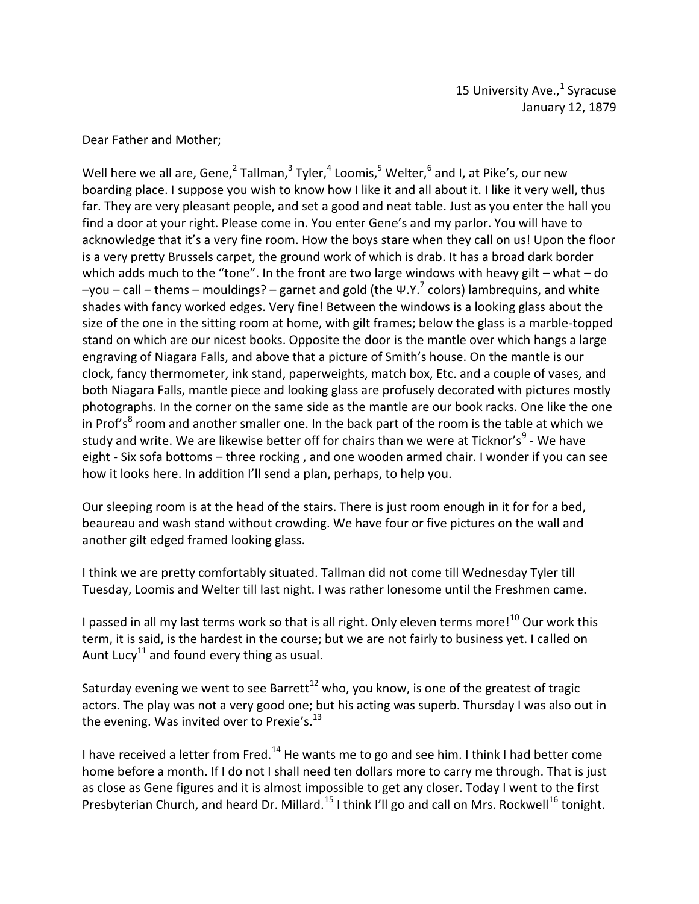Dear Father and Mother;

Well here we all are, Gene, $^2$  Tallman, $^3$  Tyler, $^4$  Loomis, $^5$  Welter, $^6$  and I, at Pike's, our new boarding place. I suppose you wish to know how I like it and all about it. I like it very well, thus far. They are very pleasant people, and set a good and neat table. Just as you enter the hall you find a door at your right. Please come in. You enter Gene's and my parlor. You will have to acknowledge that it's a very fine room. How the boys stare when they call on us! Upon the floor is a very pretty Brussels carpet, the ground work of which is drab. It has a broad dark border which adds much to the "tone". In the front are two large windows with heavy gilt – what – do  $-$ you – call – thems – mouldings? – garnet and gold (the Ψ.Υ.<sup>7</sup> colors) lambrequins, and white shades with fancy worked edges. Very fine! Between the windows is a looking glass about the size of the one in the sitting room at home, with gilt frames; below the glass is a marble-topped stand on which are our nicest books. Opposite the door is the mantle over which hangs a large engraving of Niagara Falls, and above that a picture of Smith's house. On the mantle is our clock, fancy thermometer, ink stand, paperweights, match box, Etc. and a couple of vases, and both Niagara Falls, mantle piece and looking glass are profusely decorated with pictures mostly photographs. In the corner on the same side as the mantle are our book racks. One like the one in Prof's<sup>8</sup> room and another smaller one. In the back part of the room is the table at which we study and write. We are likewise better off for chairs than we were at Ticknor's<sup>9</sup> - We have eight - Six sofa bottoms – three rocking , and one wooden armed chair. I wonder if you can see how it looks here. In addition I'll send a plan, perhaps, to help you.

Our sleeping room is at the head of the stairs. There is just room enough in it for for a bed, beaureau and wash stand without crowding. We have four or five pictures on the wall and another gilt edged framed looking glass.

I think we are pretty comfortably situated. Tallman did not come till Wednesday Tyler till Tuesday, Loomis and Welter till last night. I was rather lonesome until the Freshmen came.

I passed in all my last terms work so that is all right. Only eleven terms more!<sup>10</sup> Our work this term, it is said, is the hardest in the course; but we are not fairly to business yet. I called on Aunt Lucy<sup>11</sup> and found every thing as usual.

Saturday evening we went to see Barrett<sup>12</sup> who, you know, is one of the greatest of tragic actors. The play was not a very good one; but his acting was superb. Thursday I was also out in the evening. Was invited over to Prexie's. $^{13}$ 

I have received a letter from Fred.<sup>14</sup> He wants me to go and see him. I think I had better come home before a month. If I do not I shall need ten dollars more to carry me through. That is just as close as Gene figures and it is almost impossible to get any closer. Today I went to the first Presbyterian Church, and heard Dr. Millard.<sup>15</sup> I think I'll go and call on Mrs. Rockwell<sup>16</sup> tonight.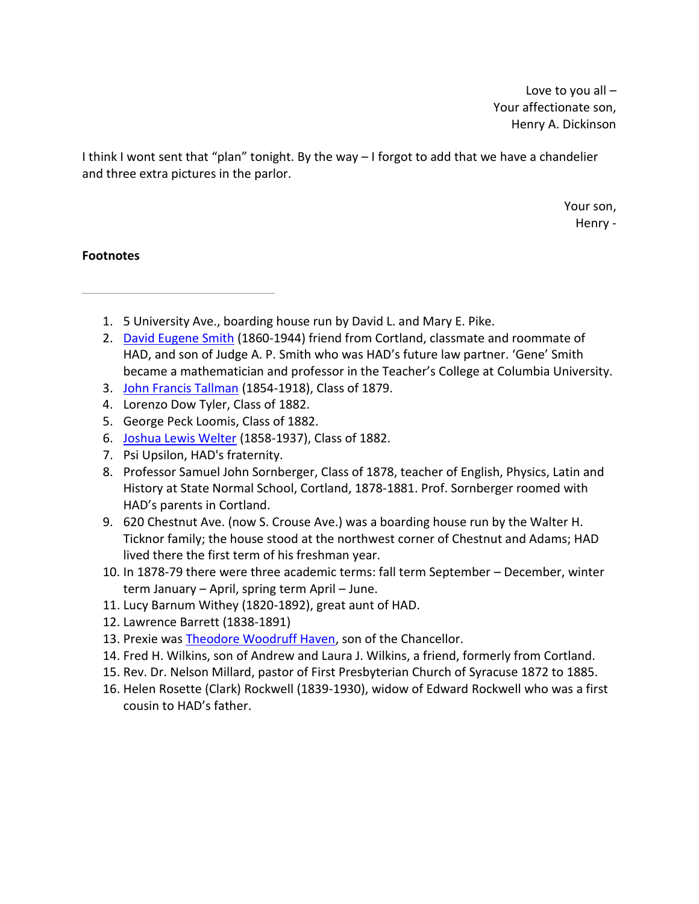Love to you all – Your affectionate son, Henry A. Dickinson

I think I wont sent that "plan" tonight. By the way – I forgot to add that we have a chandelier and three extra pictures in the parlor.

> Your son, Henry -

- 1. 5 University Ave., boarding house run by David L. and Mary E. Pike.
- 2. David Eugene Smith (1860-1944) friend from Cortland, classmate and roommate of HAD, and son of Judge A. P. Smith who was HAD's future law partner. 'Gene' Smith became a mathematician and professor in the Teacher's College at Columbia University.
- 3. John Francis Tallman (1854-1918), Class of 1879.
- 4. Lorenzo Dow Tyler, Class of 1882.
- 5. George Peck Loomis, Class of 1882.
- 6. Joshua Lewis Welter (1858-1937), Class of 1882.
- 7. Psi Upsilon, HAD's fraternity.
- 8. Professor Samuel John Sornberger, Class of 1878, teacher of English, Physics, Latin and History at State Normal School, Cortland, 1878-1881. Prof. Sornberger roomed with HAD's parents in Cortland.
- 9. 620 Chestnut Ave. (now S. Crouse Ave.) was a boarding house run by the Walter H. Ticknor family; the house stood at the northwest corner of Chestnut and Adams; HAD lived there the first term of his freshman year.
- 10. In 1878-79 there were three academic terms: fall term September December, winter term January – April, spring term April – June.
- 11. Lucy Barnum Withey (1820-1892), great aunt of HAD.
- 12. Lawrence Barrett (1838-1891)
- 13. Prexie was Theodore Woodruff Haven, son of the Chancellor.
- 14. Fred H. Wilkins, son of Andrew and Laura J. Wilkins, a friend, formerly from Cortland.
- 15. Rev. Dr. Nelson Millard, pastor of First Presbyterian Church of Syracuse 1872 to 1885.
- 16. Helen Rosette (Clark) Rockwell (1839-1930), widow of Edward Rockwell who was a first cousin to HAD's father.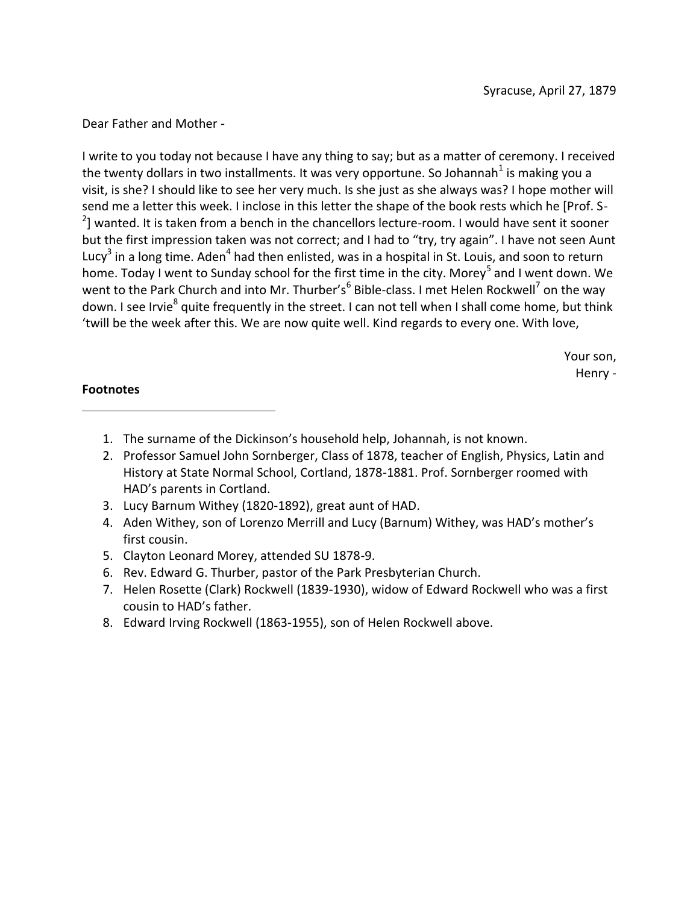Dear Father and Mother -

I write to you today not because I have any thing to say; but as a matter of ceremony. I received the twenty dollars in two installments. It was very opportune. So Johannah<sup>1</sup> is making you a visit, is she? I should like to see her very much. Is she just as she always was? I hope mother will send me a letter this week. I inclose in this letter the shape of the book rests which he [Prof. S- $^{2}$ ] wanted. It is taken from a bench in the chancellors lecture-room. I would have sent it sooner but the first impression taken was not correct; and I had to "try, try again". I have not seen Aunt Lucy<sup>3</sup> in a long time. Aden<sup>4</sup> had then enlisted, was in a hospital in St. Louis, and soon to return home. Today I went to Sunday school for the first time in the city. Morey<sup>5</sup> and I went down. We went to the Park Church and into Mr. Thurber's<sup>6</sup> Bible-class. I met Helen Rockwell<sup>7</sup> on the way down. I see Irvie<sup>8</sup> quite frequently in the street. I can not tell when I shall come home, but think 'twill be the week after this. We are now quite well. Kind regards to every one. With love,

> Your son, Henry -

- 1. The surname of the Dickinson's household help, Johannah, is not known.
- 2. Professor Samuel John Sornberger, Class of 1878, teacher of English, Physics, Latin and History at State Normal School, Cortland, 1878-1881. Prof. Sornberger roomed with HAD's parents in Cortland.
- 3. Lucy Barnum Withey (1820-1892), great aunt of HAD.
- 4. Aden Withey, son of Lorenzo Merrill and Lucy (Barnum) Withey, was HAD's mother's first cousin.
- 5. Clayton Leonard Morey, attended SU 1878-9.
- 6. Rev. Edward G. Thurber, pastor of the Park Presbyterian Church.
- 7. Helen Rosette (Clark) Rockwell (1839-1930), widow of Edward Rockwell who was a first cousin to HAD's father.
- 8. Edward Irving Rockwell (1863-1955), son of Helen Rockwell above.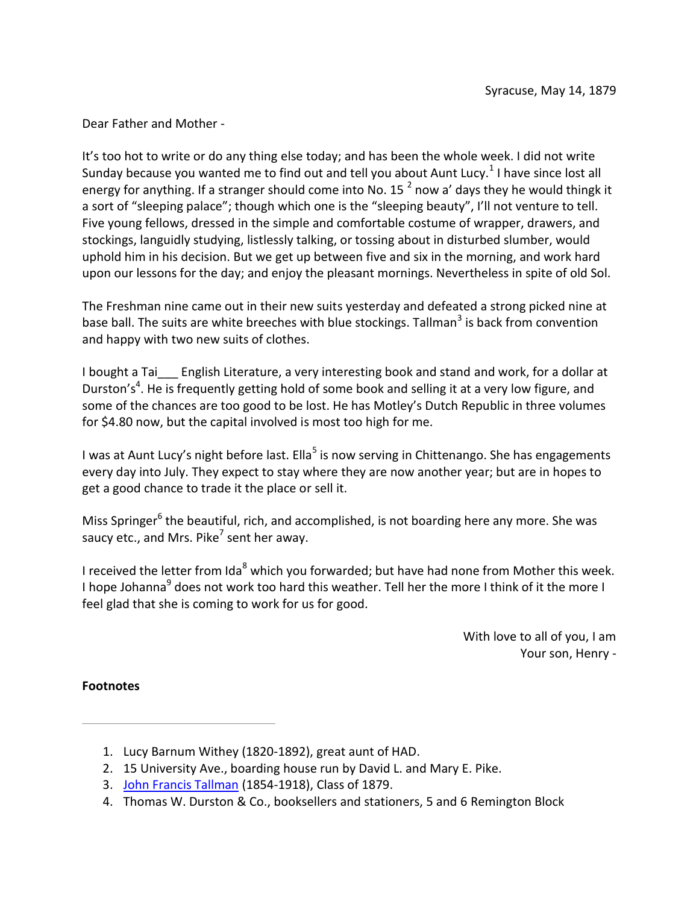Dear Father and Mother -

It's too hot to write or do any thing else today; and has been the whole week. I did not write Sunday because you wanted me to find out and tell you about Aunt Lucy.<sup>1</sup> I have since lost all energy for anything. If a stranger should come into No. 15<sup>2</sup> now a' days they he would thingk it a sort of "sleeping palace"; though which one is the "sleeping beauty", I'll not venture to tell. Five young fellows, dressed in the simple and comfortable costume of wrapper, drawers, and stockings, languidly studying, listlessly talking, or tossing about in disturbed slumber, would uphold him in his decision. But we get up between five and six in the morning, and work hard upon our lessons for the day; and enjoy the pleasant mornings. Nevertheless in spite of old Sol.

The Freshman nine came out in their new suits yesterday and defeated a strong picked nine at base ball. The suits are white breeches with blue stockings. Tallman<sup>3</sup> is back from convention and happy with two new suits of clothes.

I bought a Tai English Literature, a very interesting book and stand and work, for a dollar at Durston's<sup>4</sup>. He is frequently getting hold of some book and selling it at a very low figure, and some of the chances are too good to be lost. He has Motley's Dutch Republic in three volumes for \$4.80 now, but the capital involved is most too high for me.

I was at Aunt Lucy's night before last. Ella<sup>5</sup> is now serving in Chittenango. She has engagements every day into July. They expect to stay where they are now another year; but are in hopes to get a good chance to trade it the place or sell it.

Miss Springer<sup>6</sup> the beautiful, rich, and accomplished, is not boarding here any more. She was saucy etc., and Mrs. Pike<sup>7</sup> sent her away.

I received the letter from Ida<sup>8</sup> which you forwarded; but have had none from Mother this week. I hope Johanna<sup>9</sup> does not work too hard this weather. Tell her the more I think of it the more I feel glad that she is coming to work for us for good.

> With love to all of you, I am Your son, Henry -

- 1. Lucy Barnum Withey (1820-1892), great aunt of HAD.
- 2. 15 University Ave., boarding house run by David L. and Mary E. Pike.
- 3. John Francis Tallman (1854-1918), Class of 1879.
- 4. Thomas W. Durston & Co., booksellers and stationers, 5 and 6 Remington Block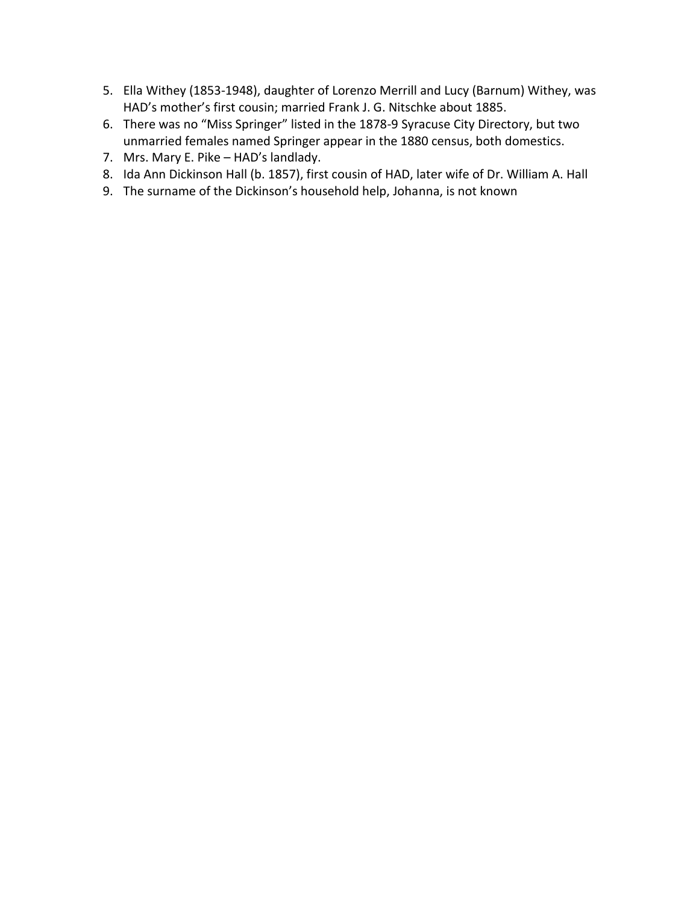- 5. Ella Withey (1853-1948), daughter of Lorenzo Merrill and Lucy (Barnum) Withey, was HAD's mother's first cousin; married Frank J. G. Nitschke about 1885.
- 6. There was no "Miss Springer" listed in the 1878-9 Syracuse City Directory, but two unmarried females named Springer appear in the 1880 census, both domestics.
- 7. Mrs. Mary E. Pike HAD's landlady.
- 8. Ida Ann Dickinson Hall (b. 1857), first cousin of HAD, later wife of Dr. William A. Hall
- 9. The surname of the Dickinson's household help, Johanna, is not known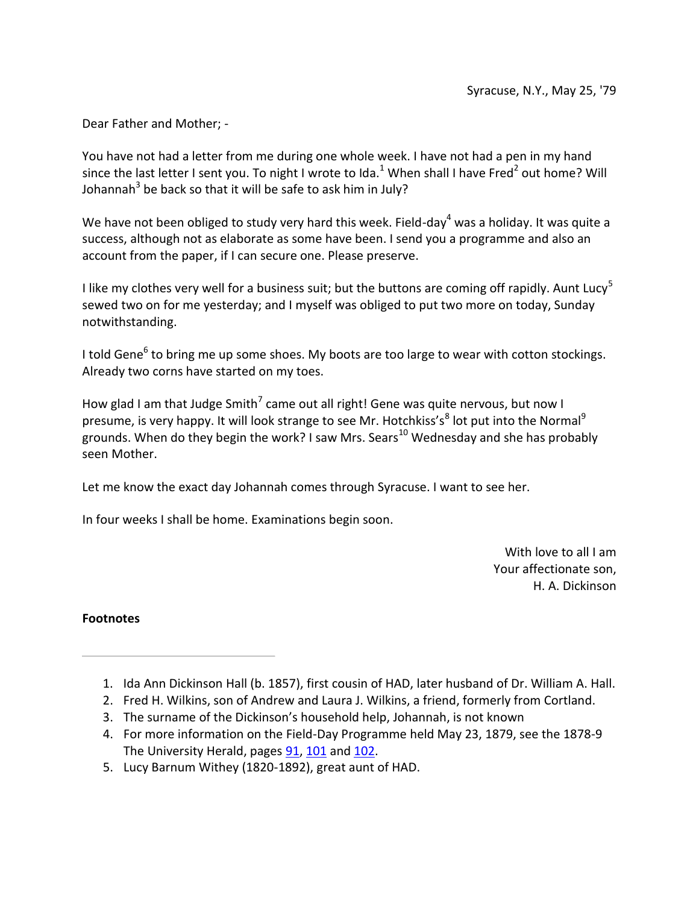Dear Father and Mother; -

You have not had a letter from me during one whole week. I have not had a pen in my hand since the last letter I sent you. To night I wrote to Ida.<sup>1</sup> When shall I have Fred<sup>2</sup> out home? Will Johannah<sup>3</sup> be back so that it will be safe to ask him in July?

We have not been obliged to study very hard this week. Field-day<sup>4</sup> was a holiday. It was quite a success, although not as elaborate as some have been. I send you a programme and also an account from the paper, if I can secure one. Please preserve.

I like my clothes very well for a business suit; but the buttons are coming off rapidly. Aunt Lucy<sup>5</sup> sewed two on for me yesterday; and I myself was obliged to put two more on today, Sunday notwithstanding.

I told Gene<sup>6</sup> to bring me up some shoes. My boots are too large to wear with cotton stockings. Already two corns have started on my toes.

How glad I am that Judge Smith<sup>7</sup> came out all right! Gene was quite nervous, but now I presume, is very happy. It will look strange to see Mr. Hotchkiss's $8$  lot put into the Normal $9$ grounds. When do they begin the work? I saw Mrs. Sears<sup>10</sup> Wednesday and she has probably seen Mother.

Let me know the exact day Johannah comes through Syracuse. I want to see her.

In four weeks I shall be home. Examinations begin soon.

With love to all I am Your affectionate son, H. A. Dickinson

- 1. Ida Ann Dickinson Hall (b. 1857), first cousin of HAD, later husband of Dr. William A. Hall.
- 2. Fred H. Wilkins, son of Andrew and Laura J. Wilkins, a friend, formerly from Cortland.
- 3. The surname of the Dickinson's household help, Johannah, is not known
- 4. For more information on the Field-Day Programme held May 23, 1879, see the 1878-9 The University Herald, pages 91, 101 and 102.
- 5. Lucy Barnum Withey (1820-1892), great aunt of HAD.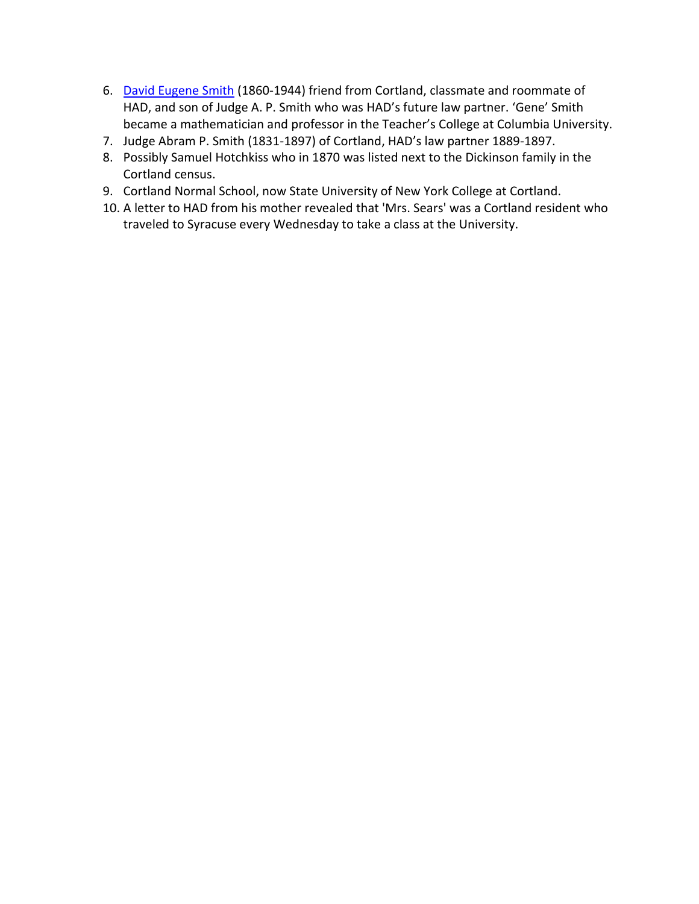- 6. David Eugene Smith (1860-1944) friend from Cortland, classmate and roommate of HAD, and son of Judge A. P. Smith who was HAD's future law partner. 'Gene' Smith became a mathematician and professor in the Teacher's College at Columbia University.
- 7. Judge Abram P. Smith (1831-1897) of Cortland, HAD's law partner 1889-1897.
- 8. Possibly Samuel Hotchkiss who in 1870 was listed next to the Dickinson family in the Cortland census.
- 9. Cortland Normal School, now State University of New York College at Cortland.
- 10. A letter to HAD from his mother revealed that 'Mrs. Sears' was a Cortland resident who traveled to Syracuse every Wednesday to take a class at the University.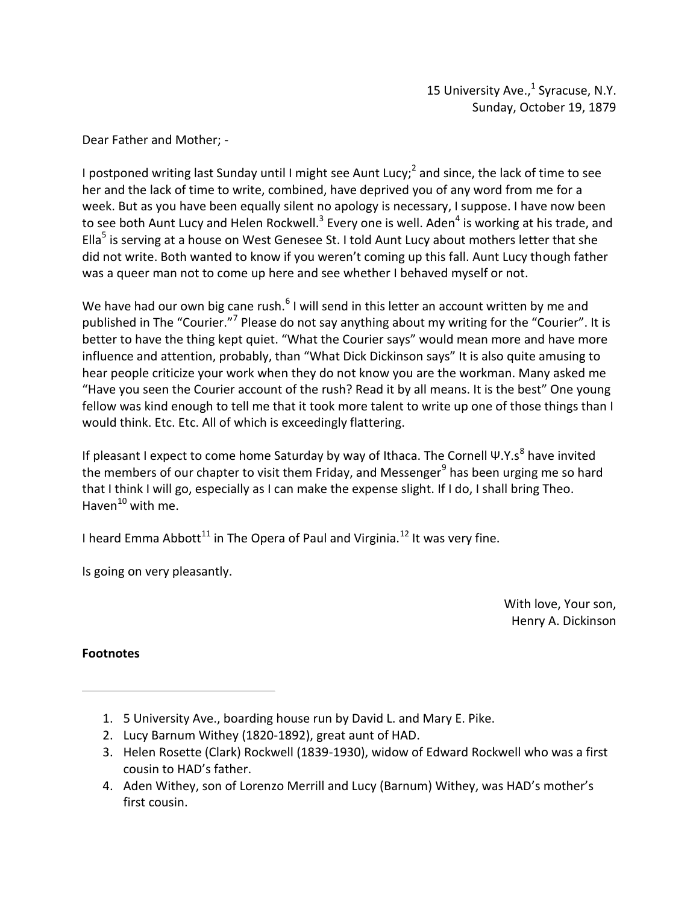Dear Father and Mother; -

I postponed writing last Sunday until I might see Aunt Lucy;<sup>2</sup> and since, the lack of time to see her and the lack of time to write, combined, have deprived you of any word from me for a week. But as you have been equally silent no apology is necessary, I suppose. I have now been to see both Aunt Lucy and Helen Rockwell.<sup>3</sup> Every one is well. Aden<sup>4</sup> is working at his trade, and Ella<sup>5</sup> is serving at a house on West Genesee St. I told Aunt Lucy about mothers letter that she did not write. Both wanted to know if you weren't coming up this fall. Aunt Lucy though father was a queer man not to come up here and see whether I behaved myself or not.

We have had our own big cane rush. $<sup>6</sup>$  I will send in this letter an account written by me and</sup> published in The "Courier."<sup>7</sup> Please do not say anything about my writing for the "Courier". It is better to have the thing kept quiet. "What the Courier says" would mean more and have more influence and attention, probably, than "What Dick Dickinson says" It is also quite amusing to hear people criticize your work when they do not know you are the workman. Many asked me "Have you seen the Courier account of the rush? Read it by all means. It is the best" One young fellow was kind enough to tell me that it took more talent to write up one of those things than I would think. Etc. Etc. All of which is exceedingly flattering.

If pleasant I expect to come home Saturday by way of Ithaca. The Cornell Ψ.Υ.s<sup>8</sup> have invited the members of our chapter to visit them Friday, and Messenger<sup>9</sup> has been urging me so hard that I think I will go, especially as I can make the expense slight. If I do, I shall bring Theo. Haven $^{10}$  with me.

I heard Emma Abbott<sup>11</sup> in The Opera of Paul and Virginia.<sup>12</sup> It was very fine.

Is going on very pleasantly.

With love, Your son, Henry A. Dickinson

- 1. 5 University Ave., boarding house run by David L. and Mary E. Pike.
- 2. Lucy Barnum Withey (1820-1892), great aunt of HAD.
- 3. Helen Rosette (Clark) Rockwell (1839-1930), widow of Edward Rockwell who was a first cousin to HAD's father.
- 4. Aden Withey, son of Lorenzo Merrill and Lucy (Barnum) Withey, was HAD's mother's first cousin.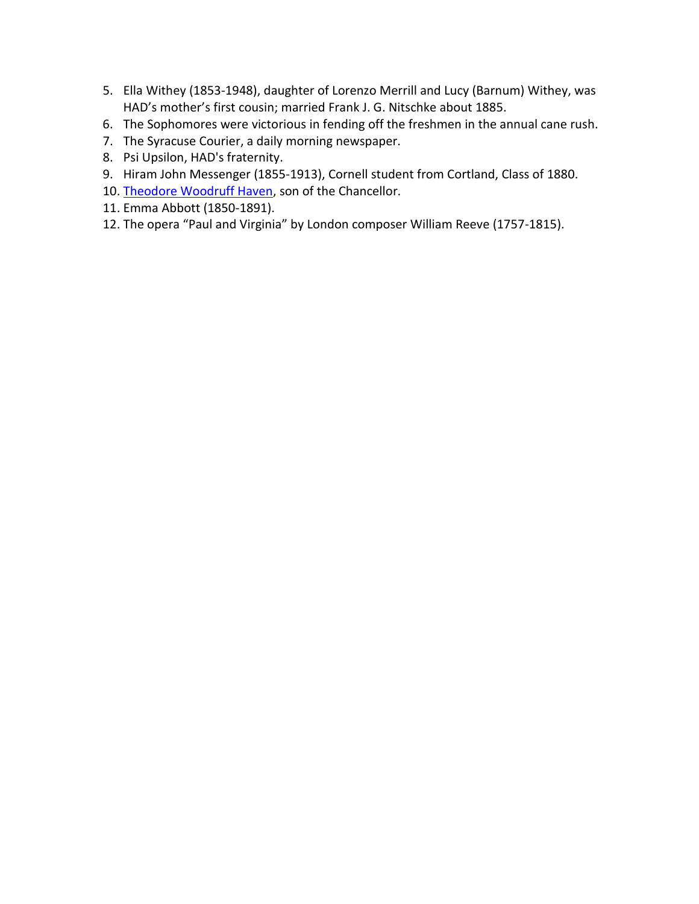- 5. Ella Withey (1853-1948), daughter of Lorenzo Merrill and Lucy (Barnum) Withey, was HAD's mother's first cousin; married Frank J. G. Nitschke about 1885.
- 6. The Sophomores were victorious in fending off the freshmen in the annual cane rush.
- 7. The Syracuse Courier, a daily morning newspaper.
- 8. Psi Upsilon, HAD's fraternity.
- 9. Hiram John Messenger (1855-1913), Cornell student from Cortland, Class of 1880.
- 10. Theodore Woodruff Haven, son of the Chancellor.
- 11. Emma Abbott (1850-1891).
- 12. The opera "Paul and Virginia" by London composer William Reeve (1757-1815).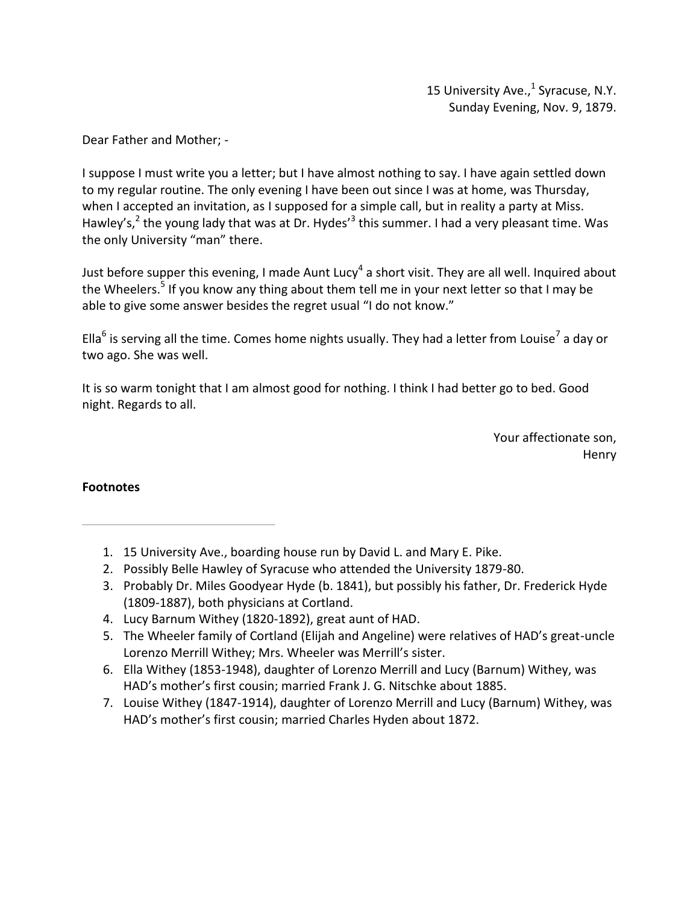15 University Ave., $<sup>1</sup>$  Syracuse, N.Y.</sup> Sunday Evening, Nov. 9, 1879.

Dear Father and Mother; -

I suppose I must write you a letter; but I have almost nothing to say. I have again settled down to my regular routine. The only evening I have been out since I was at home, was Thursday, when I accepted an invitation, as I supposed for a simple call, but in reality a party at Miss. Hawley's,<sup>2</sup> the young lady that was at Dr. Hydes'<sup>3</sup> this summer. I had a very pleasant time. Was the only University "man" there.

Just before supper this evening, I made Aunt Lucy<sup>4</sup> a short visit. They are all well. Inquired about the Wheelers.<sup>5</sup> If you know any thing about them tell me in your next letter so that I may be able to give some answer besides the regret usual "I do not know."

Ella<sup>6</sup> is serving all the time. Comes home nights usually. They had a letter from Louise<sup>7</sup> a day or two ago. She was well.

It is so warm tonight that I am almost good for nothing. I think I had better go to bed. Good night. Regards to all.

> Your affectionate son, Henry

- 1. 15 University Ave., boarding house run by David L. and Mary E. Pike.
- 2. Possibly Belle Hawley of Syracuse who attended the University 1879-80.
- 3. Probably Dr. Miles Goodyear Hyde (b. 1841), but possibly his father, Dr. Frederick Hyde (1809-1887), both physicians at Cortland.
- 4. Lucy Barnum Withey (1820-1892), great aunt of HAD.
- 5. The Wheeler family of Cortland (Elijah and Angeline) were relatives of HAD's great-uncle Lorenzo Merrill Withey; Mrs. Wheeler was Merrill's sister.
- 6. Ella Withey (1853-1948), daughter of Lorenzo Merrill and Lucy (Barnum) Withey, was HAD's mother's first cousin; married Frank J. G. Nitschke about 1885.
- 7. Louise Withey (1847-1914), daughter of Lorenzo Merrill and Lucy (Barnum) Withey, was HAD's mother's first cousin; married Charles Hyden about 1872.